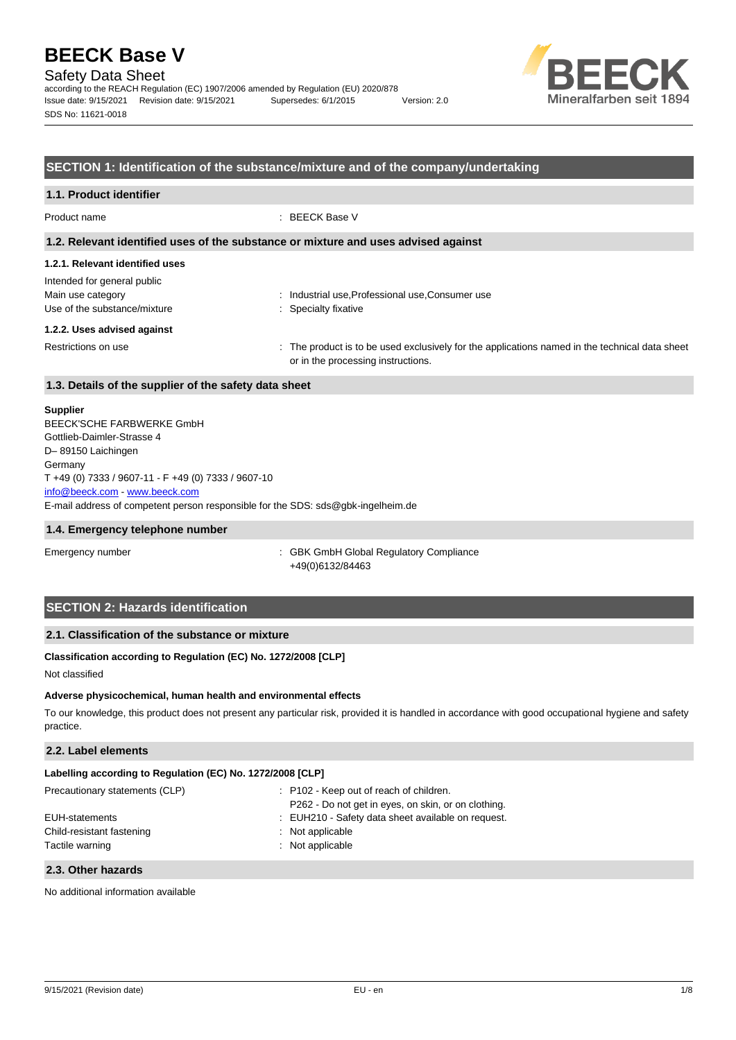### Safety Data Sheet

according to the REACH Regulation (EC) 1907/2006 amended by Regulation (EU) 2020/878 Issue date: 9/15/2021 Revision date: 9/15/2021 Supersedes: 6/1/2015 Version: 2.0 SDS No: 11621-0018



### **SECTION 1: Identification of the substance/mixture and of the company/undertaking**

## **1.1. Product identifier** Product name : BEECK Base V **1.2. Relevant identified uses of the substance or mixture and uses advised against 1.2.1. Relevant identified uses** Intended for general public Main use category **industrial use, Professional use, Consumer use** industrial use, Professional use, Consumer use Use of the substance/mixture in the substance/mixture in the substance of the substance of the substance of the substance/mixture in the substance/mixture in the substance/mixture in the substance/mixture in the substance/ **1.2.2. Uses advised against** Restrictions on use example of the product is to be used exclusively for the applications named in the technical data sheet or in the processing instructions. **1.3. Details of the supplier of the safety data sheet**

#### **Supplier**

E-mail address of competent person responsible for the SDS: sds@gbk-ingelheim.de BEECK'SCHE FARBWERKE GmbH Gottlieb-Daimler-Strasse 4 D– 89150 Laichingen **Germany** T +49 (0) 7333 / 9607-11 - F +49 (0) 7333 / 9607-10 [info@beeck.com](mailto:info@beeck.com) - [www.beeck.com](http://www.beeck.com/)

#### **1.4. Emergency telephone number**

Emergency number **Emergency** number **1996** is GBK GmbH Global Regulatory Compliance +49(0)6132/84463

### **SECTION 2: Hazards identification**

### **2.1. Classification of the substance or mixture**

### **Classification according to Regulation (EC) No. 1272/2008 [CLP]**

Not classified

### **Adverse physicochemical, human health and environmental effects**

To our knowledge, this product does not present any particular risk, provided it is handled in accordance with good occupational hygiene and safety practice.

### **2.2. Label elements**

| Labelling according to Regulation (EC) No. 1272/2008 [CLP] |                                                                                                |
|------------------------------------------------------------|------------------------------------------------------------------------------------------------|
| Precautionary statements (CLP)                             | : P102 - Keep out of reach of children.<br>P262 - Do not get in eyes, on skin, or on clothing. |
| EUH-statements                                             | : EUH210 - Safety data sheet available on request.                                             |
| Child-resistant fastening<br>Tactile warning               | : Not applicable<br>: Not applicable                                                           |
|                                                            |                                                                                                |

#### **2.3. Other hazards**

No additional information available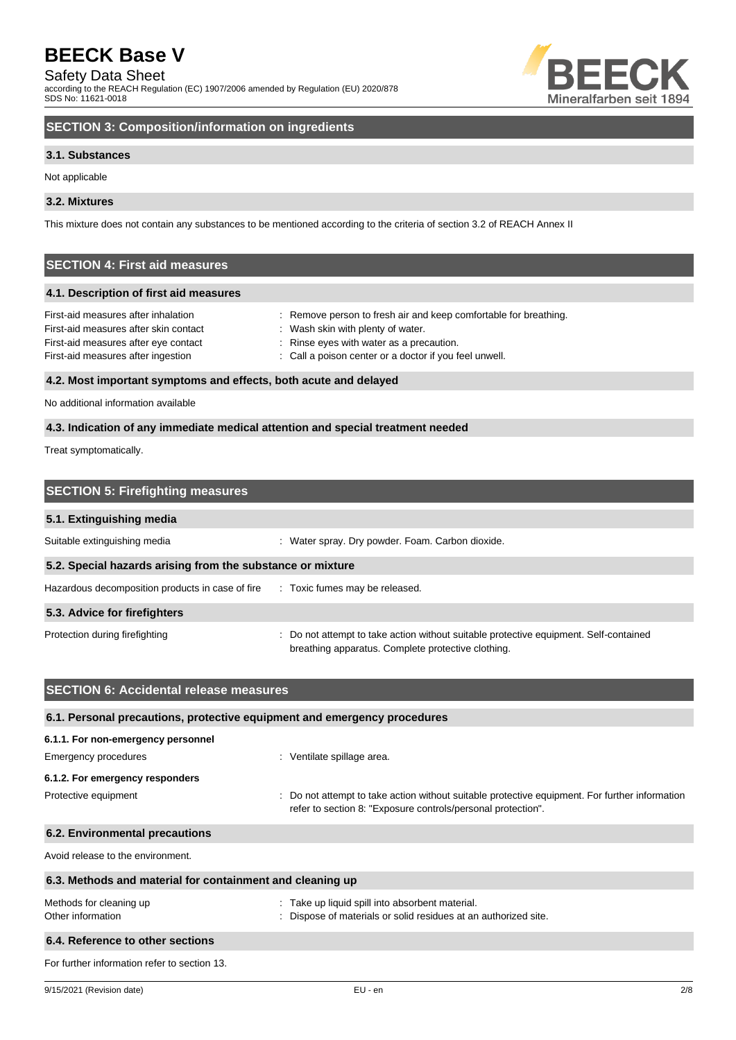Safety Data Sheet

according to the REACH Regulation (EC) 1907/2006 amended by Regulation (EU) 2020/878 SDS No: 11621-0018



### **SECTION 3: Composition/information on ingredients**

### **3.1. Substances**

Not applicable

### **3.2. Mixtures**

This mixture does not contain any substances to be mentioned according to the criteria of section 3.2 of REACH Annex II

### **SECTION 4: First aid measures**

### **4.1. Description of first aid measures**

| First-aid measures after inhalation   | : Remove person to fresh air and keep comfortable for breathing. |
|---------------------------------------|------------------------------------------------------------------|
| First-aid measures after skin contact | Wash skin with plenty of water.                                  |
| First-aid measures after eye contact  | : Rinse eyes with water as a precaution.                         |
| First-aid measures after ingestion    | : Call a poison center or a doctor if you feel unwell.           |
|                                       |                                                                  |

### **4.2. Most important symptoms and effects, both acute and delayed**

No additional information available

### **4.3. Indication of any immediate medical attention and special treatment needed**

Treat symptomatically.

| <b>SECTION 5: Firefighting measures</b>                    |                                                                                                                                           |
|------------------------------------------------------------|-------------------------------------------------------------------------------------------------------------------------------------------|
| 5.1. Extinguishing media                                   |                                                                                                                                           |
| Suitable extinguishing media                               | : Water spray. Dry powder. Foam. Carbon dioxide.                                                                                          |
| 5.2. Special hazards arising from the substance or mixture |                                                                                                                                           |
| Hazardous decomposition products in case of fire           | : Toxic fumes may be released.                                                                                                            |
| 5.3. Advice for firefighters                               |                                                                                                                                           |
| Protection during firefighting                             | Do not attempt to take action without suitable protective equipment. Self-contained<br>breathing apparatus. Complete protective clothing. |

| <b>SECTION 6: Accidental release measures</b>                            |                                                                                                                                                              |
|--------------------------------------------------------------------------|--------------------------------------------------------------------------------------------------------------------------------------------------------------|
| 6.1. Personal precautions, protective equipment and emergency procedures |                                                                                                                                                              |
| 6.1.1. For non-emergency personnel                                       |                                                                                                                                                              |
| Emergency procedures                                                     | : Ventilate spillage area.                                                                                                                                   |
| 6.1.2. For emergency responders                                          |                                                                                                                                                              |
| Protective equipment                                                     | Do not attempt to take action without suitable protective equipment. For further information<br>refer to section 8: "Exposure controls/personal protection". |
| 6.2. Environmental precautions                                           |                                                                                                                                                              |
| Avoid release to the environment.                                        |                                                                                                                                                              |
| 6.3. Methods and material for containment and cleaning up                |                                                                                                                                                              |
| Methods for cleaning up                                                  | : Take up liquid spill into absorbent material.                                                                                                              |
| Other information                                                        | Dispose of materials or solid residues at an authorized site.                                                                                                |
| 6.4. Reference to other sections                                         |                                                                                                                                                              |
| For further information refer to section 13.                             |                                                                                                                                                              |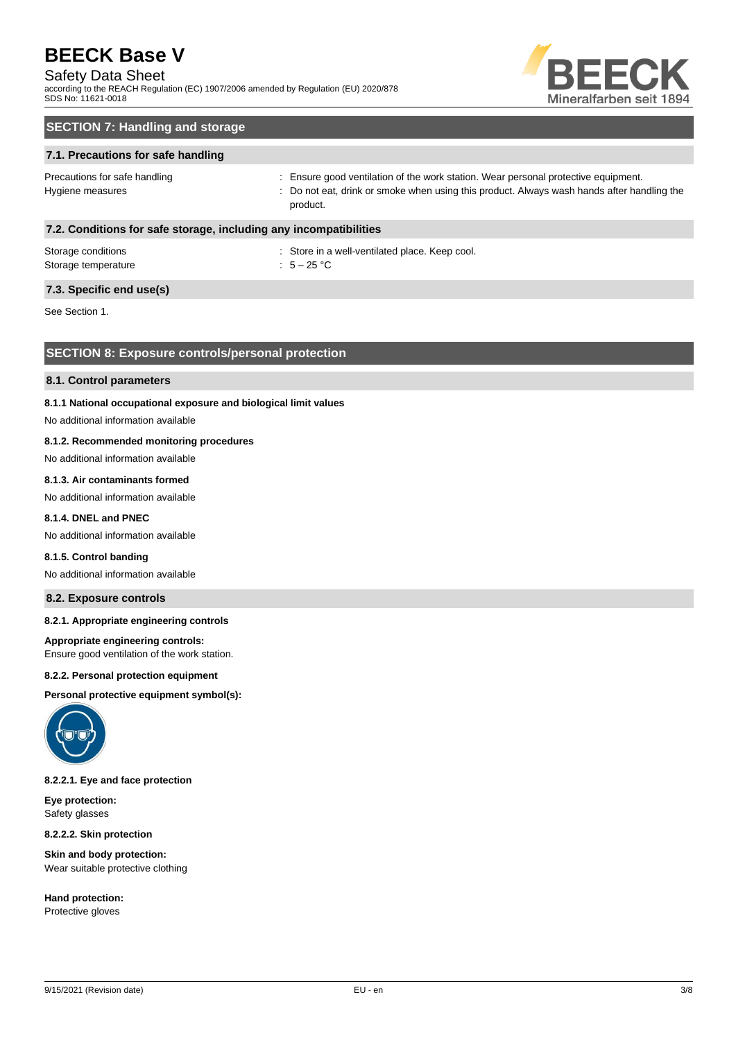### Safety Data Sheet

according to the REACH Regulation (EC) 1907/2006 amended by Regulation (EU) 2020/878 SDS No: 11621-0018



### **SECTION 7: Handling and storage**

### **7.1. Precautions for safe handling**

Precautions for safe handling state is ensure good ventilation of the work station. Wear personal protective equipment. Hygiene measures states of the state of the control of the cat, drink or smoke when using this product. Always wash hands after handling the product.

### **7.2. Conditions for safe storage, including any incompatibilities**

| Storage conditions  | : Store in a |
|---------------------|--------------|
| Storage temperature | : $5-25$ °C  |

: Store in a well-ventilated place. Keep cool.

### **7.3. Specific end use(s)**

See Section 1.

### **SECTION 8: Exposure controls/personal protection**

### **8.1. Control parameters**

### **8.1.1 National occupational exposure and biological limit values**

No additional information available

### **8.1.2. Recommended monitoring procedures**

No additional information available

### **8.1.3. Air contaminants formed**

No additional information available

### **8.1.4. DNEL and PNEC**

No additional information available

#### **8.1.5. Control banding**

No additional information available

### **8.2. Exposure controls**

### **8.2.1. Appropriate engineering controls**

#### **Appropriate engineering controls:**

Ensure good ventilation of the work station.

#### **8.2.2. Personal protection equipment**

**Personal protective equipment symbol(s):**



### **8.2.2.1. Eye and face protection**

**Eye protection:** Safety glasses

**8.2.2.2. Skin protection**

**Skin and body protection:** Wear suitable protective clothing

**Hand protection:** Protective gloves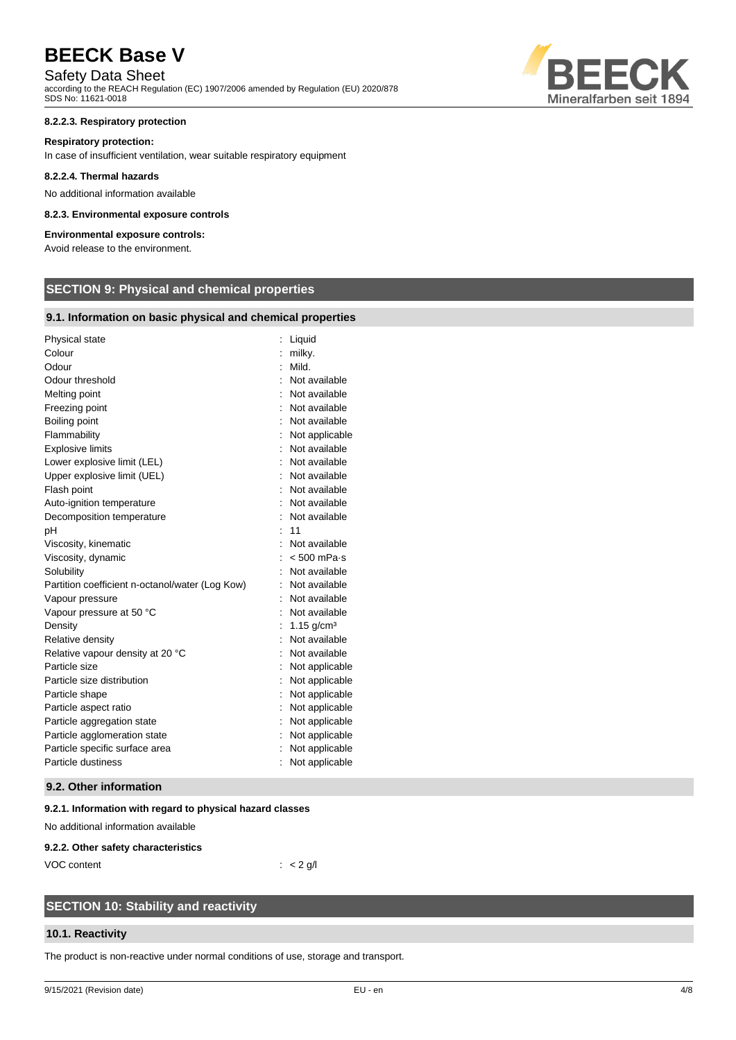### Safety Data Sheet

according to the REACH Regulation (EC) 1907/2006 amended by Regulation (EU) 2020/878 SDS No: 11621-0018

### **8.2.2.3. Respiratory protection**

#### **Respiratory protection:**

In case of insufficient ventilation, wear suitable respiratory equipment

### **8.2.2.4. Thermal hazards**

No additional information available

### **8.2.3. Environmental exposure controls**

### **Environmental exposure controls:**

Avoid release to the environment.

### **SECTION 9: Physical and chemical properties**

### **9.1. Information on basic physical and chemical properties**

| Physical state                                  | Liquid                   |
|-------------------------------------------------|--------------------------|
| Colour                                          | milky.                   |
| Odour                                           | Mild.                    |
| Odour threshold                                 | Not available            |
| Melting point                                   | Not available            |
| Freezing point                                  | Not available            |
| Boiling point                                   | Not available            |
| Flammability                                    | Not applicable           |
| <b>Explosive limits</b>                         | Not available            |
| Lower explosive limit (LEL)                     | Not available            |
| Upper explosive limit (UEL)                     | Not available            |
| Flash point                                     | Not available            |
| Auto-ignition temperature                       | Not available            |
| Decomposition temperature                       | Not available            |
| рH                                              | 11                       |
| Viscosity, kinematic                            | Not available            |
| Viscosity, dynamic                              | $< 500$ mPa $\cdot$ s    |
| Solubility                                      | Not available            |
| Partition coefficient n-octanol/water (Log Kow) | Not available            |
| Vapour pressure                                 | Not available            |
| Vapour pressure at 50 °C                        | Not available            |
| Density                                         | $1.15$ g/cm <sup>3</sup> |
| Relative density                                | Not available            |
| Relative vapour density at 20 °C                | Not available            |
| Particle size                                   | Not applicable           |
| Particle size distribution                      | Not applicable           |
| Particle shape                                  | Not applicable           |
| Particle aspect ratio                           | Not applicable           |
| Particle aggregation state                      | Not applicable           |
| Particle agglomeration state                    | Not applicable           |
| Particle specific surface area                  | Not applicable           |
| Particle dustiness                              | Not applicable           |

#### **9.2. Other information**

#### **9.2.1. Information with regard to physical hazard classes**

No additional information available

#### **9.2.2. Other safety characteristics**

VOC content : < 2 g/l

### **SECTION 10: Stability and reactivity**

### **10.1. Reactivity**

The product is non-reactive under normal conditions of use, storage and transport.

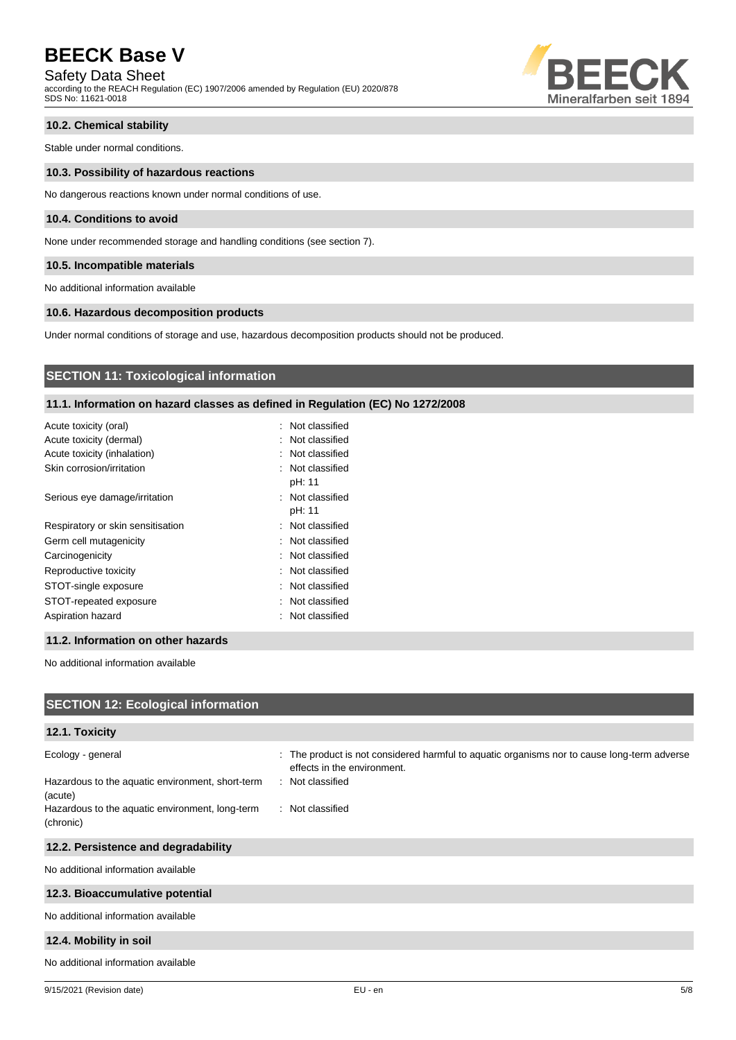Safety Data Sheet

according to the REACH Regulation (EC) 1907/2006 amended by Regulation (EU) 2020/878 SDS No: 11621-0018



### **10.2. Chemical stability**

Stable under normal conditions.

### **10.3. Possibility of hazardous reactions**

No dangerous reactions known under normal conditions of use.

### **10.4. Conditions to avoid**

None under recommended storage and handling conditions (see section 7).

### **10.5. Incompatible materials**

No additional information available

### **10.6. Hazardous decomposition products**

Under normal conditions of storage and use, hazardous decomposition products should not be produced.

### **SECTION 11: Toxicological information**

### **11.1. Information on hazard classes as defined in Regulation (EC) No 1272/2008**

| Acute toxicity (oral)             | : Not classified           |
|-----------------------------------|----------------------------|
| Acute toxicity (dermal)           | : Not classified           |
| Acute toxicity (inhalation)       | : Not classified           |
| Skin corrosion/irritation         | : Not classified<br>pH: 11 |
| Serious eye damage/irritation     | : Not classified<br>pH: 11 |
| Respiratory or skin sensitisation | : Not classified           |
| Germ cell mutagenicity            | : Not classified           |
| Carcinogenicity                   | : Not classified           |
| Reproductive toxicity             | : Not classified           |
| STOT-single exposure              | : Not classified           |
| STOT-repeated exposure            | : Not classified           |
| Aspiration hazard                 | : Not classified           |

### **11.2. Information on other hazards**

No additional information available

| <b>SECTION 12: Ecological information</b>                    |                                                                                                                            |
|--------------------------------------------------------------|----------------------------------------------------------------------------------------------------------------------------|
| 12.1. Toxicity                                               |                                                                                                                            |
| Ecology - general                                            | : The product is not considered harmful to aquatic organisms nor to cause long-term adverse<br>effects in the environment. |
| Hazardous to the aquatic environment, short-term<br>(acute)  | : Not classified                                                                                                           |
| Hazardous to the aquatic environment, long-term<br>(chronic) | : Not classified                                                                                                           |
| 12.2. Persistence and degradability                          |                                                                                                                            |
| No additional information available                          |                                                                                                                            |
| 12.3. Bioaccumulative potential                              |                                                                                                                            |
| No additional information available                          |                                                                                                                            |
| 12.4. Mobility in soil                                       |                                                                                                                            |
| No additional information available                          |                                                                                                                            |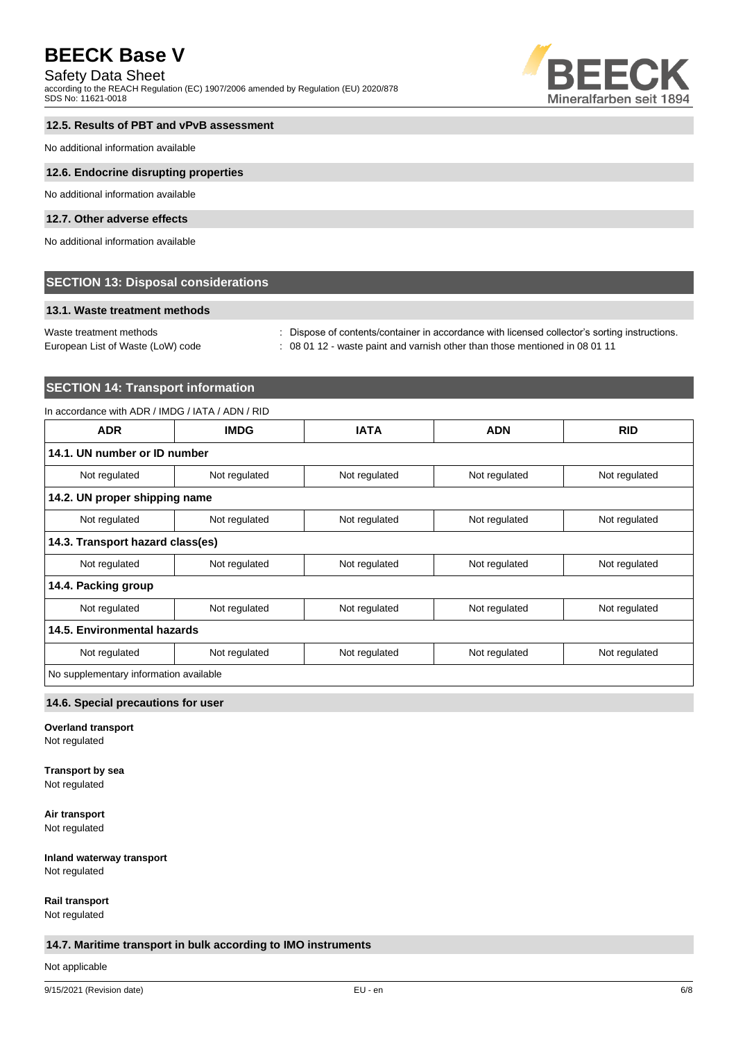### Safety Data Sheet

according to the REACH Regulation (EC) 1907/2006 amended by Regulation (EU) 2020/878 SDS No: 11621-0018



### **12.5. Results of PBT and vPvB assessment**

No additional information available

### **12.6. Endocrine disrupting properties**

No additional information available

### **12.7. Other adverse effects**

No additional information available

### **SECTION 13: Disposal considerations**

### **13.1. Waste treatment methods**

Waste treatment methods : Dispose of contents/container in accordance with licensed collector's sorting instructions.

European List of Waste (LoW) code : 08 01 12 - waste paint and varnish other than those mentioned in 08 01 11

### **SECTION 14: Transport information**

### In accordance with ADR / IMDG / IATA / ADN / RID

| <b>ADR</b>                             | <b>IMDG</b>   | <b>IATA</b>   | <b>ADN</b>    | <b>RID</b>    |
|----------------------------------------|---------------|---------------|---------------|---------------|
| 14.1. UN number or ID number           |               |               |               |               |
| Not regulated                          | Not regulated | Not regulated | Not regulated | Not regulated |
| 14.2. UN proper shipping name          |               |               |               |               |
| Not regulated                          | Not regulated | Not regulated | Not regulated | Not regulated |
| 14.3. Transport hazard class(es)       |               |               |               |               |
| Not regulated                          | Not regulated | Not regulated | Not regulated | Not regulated |
| 14.4. Packing group                    |               |               |               |               |
| Not regulated                          | Not regulated | Not regulated | Not regulated | Not regulated |
| 14.5. Environmental hazards            |               |               |               |               |
| Not regulated                          | Not regulated | Not regulated | Not regulated | Not regulated |
| No supplementary information available |               |               |               |               |

#### **14.6. Special precautions for user**

**Overland transport**

Not regulated

## **Transport by sea**

Not regulated

**Air transport** Not regulated

### **Inland waterway transport** Not regulated

**Rail transport**

Not regulated

### **14.7. Maritime transport in bulk according to IMO instruments**

Not applicable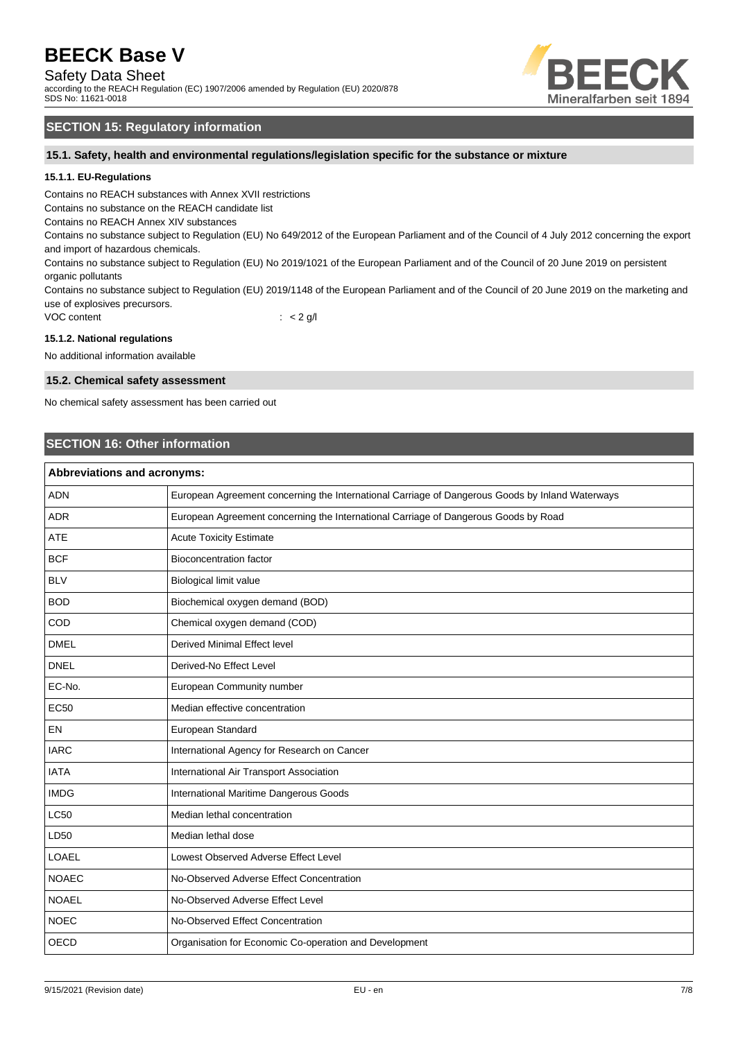Safety Data Sheet

according to the REACH Regulation (EC) 1907/2006 amended by Regulation (EU) 2020/878 SDS No: 11621-0018



### **SECTION 15: Regulatory information**

**15.1. Safety, health and environmental regulations/legislation specific for the substance or mixture**

### **15.1.1. EU-Regulations**

Contains no REACH substances with Annex XVII restrictions

Contains no substance on the REACH candidate list

Contains no REACH Annex XIV substances

Contains no substance subject to Regulation (EU) No 649/2012 of the European Parliament and of the Council of 4 July 2012 concerning the export and import of hazardous chemicals.

Contains no substance subject to Regulation (EU) No 2019/1021 of the European Parliament and of the Council of 20 June 2019 on persistent organic pollutants

Contains no substance subject to Regulation (EU) 2019/1148 of the European Parliament and of the Council of 20 June 2019 on the marketing and use of explosives precursors.

VOC content  $\qquad \qquad : \qquad < 2 \text{ g/l}$ 

### **15.1.2. National regulations**

No additional information available

### **15.2. Chemical safety assessment**

No chemical safety assessment has been carried out

### **SECTION 16: Other information**

| Abbreviations and acronyms: |                                                                                                 |  |
|-----------------------------|-------------------------------------------------------------------------------------------------|--|
| <b>ADN</b>                  | European Agreement concerning the International Carriage of Dangerous Goods by Inland Waterways |  |
| <b>ADR</b>                  | European Agreement concerning the International Carriage of Dangerous Goods by Road             |  |
| <b>ATE</b>                  | <b>Acute Toxicity Estimate</b>                                                                  |  |
| <b>BCF</b>                  | <b>Bioconcentration factor</b>                                                                  |  |
| <b>BLV</b>                  | Biological limit value                                                                          |  |
| <b>BOD</b>                  | Biochemical oxygen demand (BOD)                                                                 |  |
| COD                         | Chemical oxygen demand (COD)                                                                    |  |
| <b>DMEL</b>                 | <b>Derived Minimal Effect level</b>                                                             |  |
| <b>DNEL</b>                 | Derived-No Effect Level                                                                         |  |
| EC-No.                      | European Community number                                                                       |  |
| <b>EC50</b>                 | Median effective concentration                                                                  |  |
| EN                          | European Standard                                                                               |  |
| <b>IARC</b>                 | International Agency for Research on Cancer                                                     |  |
| <b>IATA</b>                 | International Air Transport Association                                                         |  |
| <b>IMDG</b>                 | International Maritime Dangerous Goods                                                          |  |
| <b>LC50</b>                 | Median lethal concentration                                                                     |  |
| LD50                        | Median lethal dose                                                                              |  |
| LOAEL                       | Lowest Observed Adverse Effect Level                                                            |  |
| <b>NOAEC</b>                | No-Observed Adverse Effect Concentration                                                        |  |
| <b>NOAEL</b>                | No-Observed Adverse Effect Level                                                                |  |
| <b>NOEC</b>                 | No-Observed Effect Concentration                                                                |  |
| <b>OECD</b>                 | Organisation for Economic Co-operation and Development                                          |  |